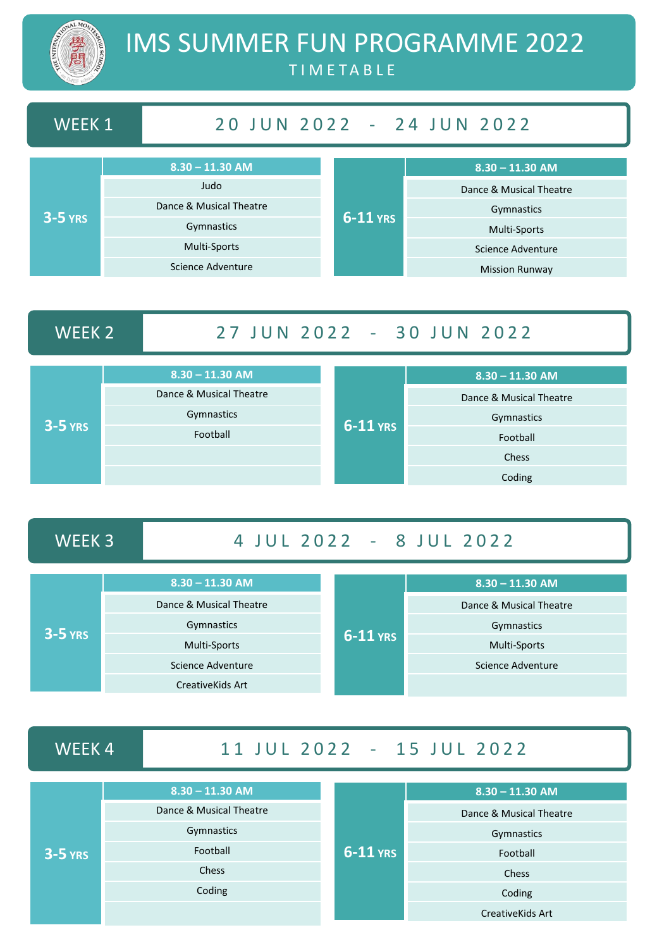

# IMS SUMMER FUN PROGRAMME 2022 T I M E T A B L E

# WEEK 1 20 JUN 2022 - 24 JUN 2022

| $3-5$ YRS | $8.30 - 11.30$ AM       | $6-11$ YRS | $8.30 - 11.30$ AM       |
|-----------|-------------------------|------------|-------------------------|
|           | Judo                    |            | Dance & Musical Theatre |
|           | Dance & Musical Theatre |            | Gymnastics              |
|           | Gymnastics              |            | Multi-Sports            |
|           | Multi-Sports            |            | Science Adventure       |
|           | Science Adventure       |            | <b>Mission Runway</b>   |

# WEEK 2 27 JUN 2022 - 30 JUN 2022

| $3-5$ YRS | $8.30 - 11.30$ AM       |            | $8.30 - 11.30$ AM       |
|-----------|-------------------------|------------|-------------------------|
|           | Dance & Musical Theatre |            | Dance & Musical Theatre |
|           | Gymnastics              |            | Gymnastics              |
|           | Football                | $6-11$ YRS | Football                |
|           |                         |            | Chess                   |
|           |                         |            | Coding                  |

## WEEK 3 4 JUL 2022 - 8 JUL 2022

| $3-5$ YRS | $8.30 - 11.30$ AM       | $6-11$ YRS | $8.30 - 11.30$ AM       |
|-----------|-------------------------|------------|-------------------------|
|           | Dance & Musical Theatre |            | Dance & Musical Theatre |
|           | Gymnastics              |            | Gymnastics              |
|           | <b>Multi-Sports</b>     |            | <b>Multi-Sports</b>     |
|           | Science Adventure       |            | Science Adventure       |
|           | Creative Kids Art       |            |                         |

## WEEK 4 11 JUL 2022 - 15 JUL 2022

| $3-5$ YRS | $8.30 - 11.30$ AM       |            | $8.30 - 11.30$ AM       |
|-----------|-------------------------|------------|-------------------------|
|           | Dance & Musical Theatre |            | Dance & Musical Theatre |
|           | Gymnastics              |            | Gymnastics              |
|           | Football                | $6-11$ YRS | Football                |
|           | <b>Chess</b>            |            | Chess                   |
|           | Coding                  |            | Coding                  |
|           |                         |            | <b>CreativeKids Art</b> |